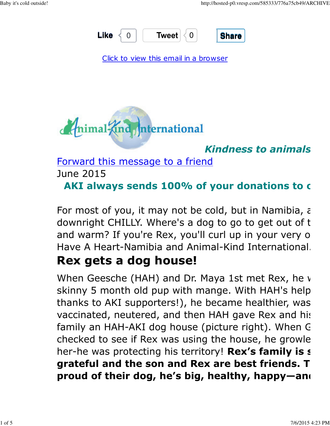

Click to view this email in a browser



#### **Kindness to animals**

Forward this message to a friend

June 2015

#### AKI always sends 100% of your donations to our

For most of you, it may not be cold, but in Namibia,  $\epsilon$ downright CHILLY. Where's a dog to go to get out of that and warm? If you're Rex, you'll curl up in your very o Have A Heart-Namibia and Animal-Kind International.

### Rex gets a dog house!

When Geesche (HAH) and Dr. Maya 1st met Rex, he  $\nu$ skinny 5 month old pup with mange. With HAH's help thanks to AKI supporters!), he became healthier, was vaccinated, neutered, and then HAH gave Rex and his family an HAH-AKI dog house (picture right). When C checked to see if Rex was using the house, he growle her-he was protecting his territory! Rex's family is s grateful and the son and Rex are best friends. T proud of their dog, he's big, healthy, happy—and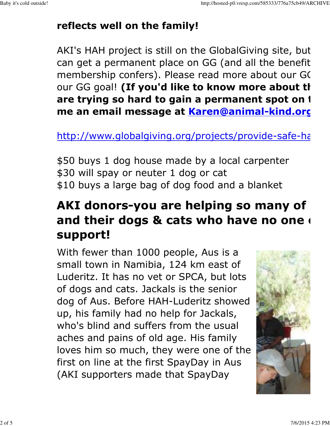### reflects well on the family!

AKI's HAH project is still on the GlobalGiving site, but can get a permanent place on GG (and all the benefit membership confers). Please read more about our GC our GG goal! (If you'd like to know more about the are trying so hard to gain a permanent spot on I me an email message at Karen@animal-kind.org

http://www.globalgiving.org/projects/provide-safe-ha

\$50 buys 1 dog house made by a local carpenter \$30 will spay or neuter 1 dog or cat \$10 buys a large bag of dog food and a blanket

# AKI donors-you are helping so many of and their dogs & cats who have no one support!

With fewer than 1000 people, Aus is a small town in Namibia, 124 km east of Luderitz. It has no vet or SPCA, but lots of dogs and cats. Jackals is the senior dog of Aus. Before HAH-Luderitz showed up, his family had no help for Jackals, who's blind and suffers from the usual aches and pains of old age. His family loves him so much, they were one of the first on line at the first SpayDay in Aus (AKI supporters made that SpayDay

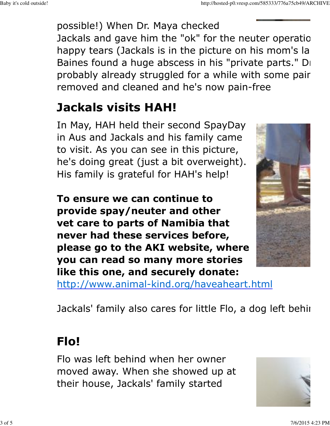possible!) When Dr. Maya checked Jackals and gave him the "ok" for the neuter operation, happy tears (Jackals is in the picture on his mom's la Baines found a huge abscess in his "private parts." Di probably already struggled for a while with some pair. removed and cleaned and he's now pain-free

# Jackals visits HAH!

In May, HAH held their second SpayDay in Aus and Jackals and his family came to visit. As you can see in this picture, he's doing great (just a bit overweight). His family is grateful for HAH's help!

To ensure we can continue to provide spay/neuter and other vet care to parts of Namibia that never had these services before, please go to the AKI website, where you can read so many more stories like this one, and securely donate:



http://www.animal-kind.org/haveaheart.html

Jackals' family also cares for little Flo, a dog left behing

### Flo!

Flo was left behind when her owner moved away. When she showed up at their house, Jackals' family started

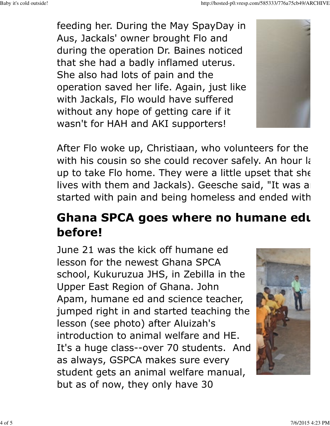feeding her. During the May SpayDay in Aus, Jackals' owner brought Flo and during the operation Dr. Baines noticed that she had a badly inflamed uterus. She also had lots of pain and the operation saved her life. Again, just like with Jackals, Flo would have suffered without any hope of getting care if it wasn't for HAH and AKI supporters!

After Flo woke up, Christiaan, who volunteers for the with his cousin so she could recover safely. An hour later is up to take Flo home. They were a little upset that she lives with them and Jackals). Geesche said, "It was a started with pain and being homeless and ended with

## Ghana SPCA goes where no humane edu before!

June 21 was the kick off humane ed lesson for the newest Ghana SPCA school, Kukuruzua JHS, in Zebilla in the Upper East Region of Ghana. John Apam, humane ed and science teacher, jumped right in and started teaching the lesson (see photo) after Aluizah's introduction to animal welfare and HE. It's a huge class--over 70 students. And as always, GSPCA makes sure every student gets an animal welfare manual, but as of now, they only have 30